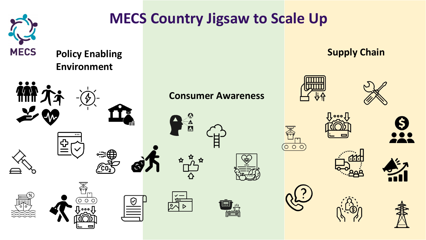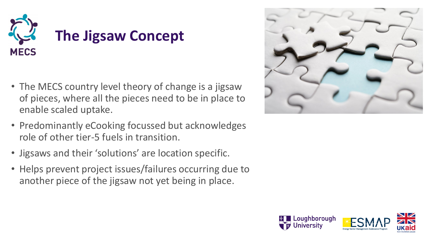

- The MECS country level theory of change is a jigsaw of pieces, where all the pieces need to be in place to enable scaled uptake.
- Predominantly eCooking focussed but acknowledges role of other tier-5 fuels in transition.
- Jigsaws and their 'solutions' are location specific.
- Helps prevent project issues/failures occurring due to another piece of the jigsaw not yet being in place.



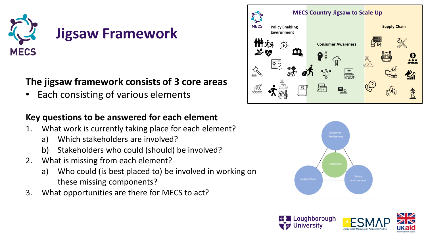

### **The jigsaw framework consists of 3 core areas**

• Each consisting of various elements

#### **Key questions to be answered for each element**

- 1. What work is currently taking place for each element?
	- a) Which stakeholders are involved?
	- b) Stakeholders who could (should) be involved?
- 2. What is missing from each element?
	- a) Who could (is best placed to) be involved in working on these missing components?
- 3. What opportunities are there for MECS to act?





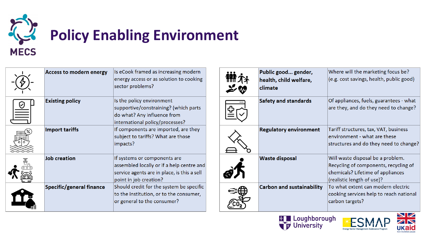

# **Policy Enabling Environment**

| <b>Access to modern energy</b>  | Is eCook framed as increasing modern<br>energy access or as solution to cooking<br>sector problems?                                                |
|---------------------------------|----------------------------------------------------------------------------------------------------------------------------------------------------|
| <b>Existing policy</b>          | Is the policy environment<br>supportive/constraining? (which parts<br>do what? Any influence from<br>international policy/processes?               |
| <b>Import tariffs</b>           | If components are imported, are they<br>subject to tariffs? What are those<br>impacts?                                                             |
| <b>Job creation</b>             | If systems or components are<br>assembled locally or if a help centre and<br>service agents are in place, is this a sell<br>point in job creation? |
| <b>Specific/general finance</b> | Should credit for the system be specific<br>to the institution, or to the consumer,<br>or general to the consumer?                                 |

| Public good gender,<br>health, child welfare,<br>climate | Where will the marketing focus be?<br>(e.g. cost savings, health, public good)                                                                |
|----------------------------------------------------------|-----------------------------------------------------------------------------------------------------------------------------------------------|
| <b>Safety and standards</b>                              | Of appliances, fuels, guarantees - what<br>are they, and do they need to change?                                                              |
| <b>Regulatory environment</b>                            | Tariff structures, tax, VAT, business<br>environment - what are these<br>structures and do they need to change?                               |
| <b>Waste disposal</b>                                    | Will waste disposal be a problem.<br>Recycling of components, recycling of<br>chemicals? Lifetime of appliances<br>(realistic length of use)? |
| <b>Carbon and sustainability</b>                         | To what extent can modern electric<br>cooking services help to reach national<br>carbon targets?                                              |





Energy Sector Management A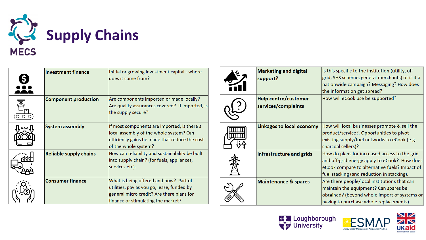

|              | <b>Investment finance</b>     | Initial or growing investment capital - where<br>does it come from?                                                                                                     |     | <b>Marketing and digital</b><br>support?           | Is this specific to the institution (utility, off<br>grid, SHS scheme, general merchants) or is it a<br>nationwide campaign? Messaging? How does<br>the information get spread?              |
|--------------|-------------------------------|-------------------------------------------------------------------------------------------------------------------------------------------------------------------------|-----|----------------------------------------------------|----------------------------------------------------------------------------------------------------------------------------------------------------------------------------------------------|
| 矞<br>(0 O O) | <b>Component production</b>   | Are components imported or made locally?<br>Are quality assurances covered? If imported, is<br>the supply secure?                                                       |     | <b>Help centre/customer</b><br>services/complaints | How will eCook use be supported?                                                                                                                                                             |
| ℿᇮℴℿ         | <b>System assembly</b>        | If most components are imported, is there a<br>local assembly of the whole system? Can<br>efficiency gains be made that reduce the cost<br>of the whole system?         | IШШ | <b>Linkages to local economy</b>                   | How will local businesses promote & sell the<br>product/service?. Opportunities to pivot<br>existing supply/fuel networks to eCook (e.g.<br>charcoal sellers)?                               |
|              | <b>Reliable supply chains</b> | How can reliability and sustainability be built<br>into supply chain? (for fuels, appliances,<br>services etc).                                                         |     | Infrastructure and grids                           | How do plans for increased access to the grid<br>and off-grid energy apply to eCook? How does<br>eCook compare to alternative fuels? Impact of<br>fuel stacking (and reduction in stacking). |
|              | <b>Consumer finance</b>       | What is being offered and how? Part of<br>utilities, pay as you go, lease, funded by<br>general micro credit? Are there plans for<br>finance or stimulating the market? |     | <b>Maintenance &amp; spares</b>                    | Are there people/local institutions that can<br>maintain the equipment? Can spares be<br>obtained? (beyond whole import of systems or<br>having to purchase whole replacements)              |





ECN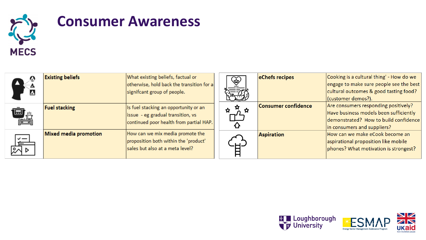

# **Consumer Awareness**

| $\boldsymbol{\Delta}$   | <b>Existing beliefs</b> | What existing beliefs, factual or<br>otherwise, hold back the transition for a<br>signifcant group of people.         | $\widehat{\mathbb{G}}$ | eChefs recipes             | Cooking is a cultural thing' - How do we<br>engage to make sure people see the best<br>cultural outcomes & good tasting food?<br>(customer demos?).    |
|-------------------------|-------------------------|-----------------------------------------------------------------------------------------------------------------------|------------------------|----------------------------|--------------------------------------------------------------------------------------------------------------------------------------------------------|
| اسا<br><b>PA</b>        | <b>Fuel stacking</b>    | Is fuel stacking an opportunity or an<br>issue - eg gradual transition, vs<br>continued poor health from partial HAP. | 17                     | <b>Consumer confidence</b> | Are consumers responding positively?<br>Have business models been sufficiently<br>demonstrated? How to build confidence<br>in consumers and suppliers? |
| $\checkmark$ $-$<br>tim | Mixed media promotion   | How can we mix media promote the<br>proposition both within the 'product'<br>sales but also at a meta level?          |                        | <b>Aspiration</b>          | How can we make eCook become an<br>aspirational proposition like mobile<br>phones? What motivation is strongest?                                       |